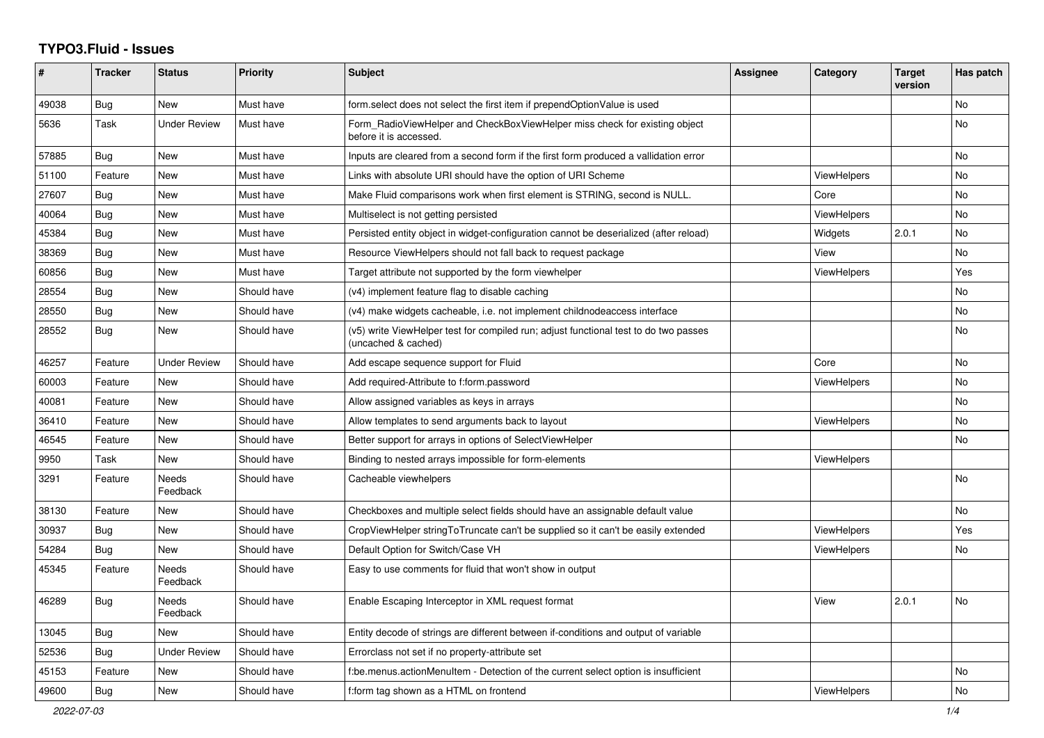## **TYPO3.Fluid - Issues**

| ∦     | <b>Tracker</b> | <b>Status</b>            | <b>Priority</b> | <b>Subject</b>                                                                                              | Assignee | Category           | <b>Target</b><br>version | Has patch |
|-------|----------------|--------------------------|-----------------|-------------------------------------------------------------------------------------------------------------|----------|--------------------|--------------------------|-----------|
| 49038 | Bug            | <b>New</b>               | Must have       | form select does not select the first item if prependOptionValue is used                                    |          |                    |                          | No        |
| 5636  | Task           | <b>Under Review</b>      | Must have       | Form_RadioViewHelper and CheckBoxViewHelper miss check for existing object<br>before it is accessed.        |          |                    |                          | No.       |
| 57885 | <b>Bug</b>     | <b>New</b>               | Must have       | Inputs are cleared from a second form if the first form produced a vallidation error                        |          |                    |                          | No        |
| 51100 | Feature        | <b>New</b>               | Must have       | Links with absolute URI should have the option of URI Scheme                                                |          | <b>ViewHelpers</b> |                          | <b>No</b> |
| 27607 | Bug            | New                      | Must have       | Make Fluid comparisons work when first element is STRING, second is NULL.                                   |          | Core               |                          | No        |
| 40064 | <b>Bug</b>     | New                      | Must have       | Multiselect is not getting persisted                                                                        |          | <b>ViewHelpers</b> |                          | No        |
| 45384 | Bug            | New                      | Must have       | Persisted entity object in widget-configuration cannot be deserialized (after reload)                       |          | Widgets            | 2.0.1                    | No        |
| 38369 | Bug            | New                      | Must have       | Resource ViewHelpers should not fall back to request package                                                |          | View               |                          | No        |
| 60856 | Bug            | New                      | Must have       | Target attribute not supported by the form viewhelper                                                       |          | <b>ViewHelpers</b> |                          | Yes       |
| 28554 | Bug            | <b>New</b>               | Should have     | (v4) implement feature flag to disable caching                                                              |          |                    |                          | No        |
| 28550 | Bug            | New                      | Should have     | (v4) make widgets cacheable, i.e. not implement childnodeaccess interface                                   |          |                    |                          | No        |
| 28552 | Bug            | New                      | Should have     | (v5) write ViewHelper test for compiled run; adjust functional test to do two passes<br>(uncached & cached) |          |                    |                          | No.       |
| 46257 | Feature        | <b>Under Review</b>      | Should have     | Add escape sequence support for Fluid                                                                       |          | Core               |                          | No        |
| 60003 | Feature        | New                      | Should have     | Add required-Attribute to f:form.password                                                                   |          | <b>ViewHelpers</b> |                          | No        |
| 40081 | Feature        | <b>New</b>               | Should have     | Allow assigned variables as keys in arrays                                                                  |          |                    |                          | No        |
| 36410 | Feature        | New                      | Should have     | Allow templates to send arguments back to layout                                                            |          | <b>ViewHelpers</b> |                          | No        |
| 46545 | Feature        | New                      | Should have     | Better support for arrays in options of SelectViewHelper                                                    |          |                    |                          | No        |
| 9950  | Task           | New                      | Should have     | Binding to nested arrays impossible for form-elements                                                       |          | <b>ViewHelpers</b> |                          |           |
| 3291  | Feature        | <b>Needs</b><br>Feedback | Should have     | Cacheable viewhelpers                                                                                       |          |                    |                          | No        |
| 38130 | Feature        | New                      | Should have     | Checkboxes and multiple select fields should have an assignable default value                               |          |                    |                          | No        |
| 30937 | Bug            | New                      | Should have     | CropViewHelper stringToTruncate can't be supplied so it can't be easily extended                            |          | <b>ViewHelpers</b> |                          | Yes       |
| 54284 | Bug            | New                      | Should have     | Default Option for Switch/Case VH                                                                           |          | <b>ViewHelpers</b> |                          | No        |
| 45345 | Feature        | <b>Needs</b><br>Feedback | Should have     | Easy to use comments for fluid that won't show in output                                                    |          |                    |                          |           |
| 46289 | <b>Bug</b>     | Needs<br>Feedback        | Should have     | Enable Escaping Interceptor in XML request format                                                           |          | View               | 2.0.1                    | No        |
| 13045 | Bug            | <b>New</b>               | Should have     | Entity decode of strings are different between if-conditions and output of variable                         |          |                    |                          |           |
| 52536 | <b>Bug</b>     | <b>Under Review</b>      | Should have     | Errorclass not set if no property-attribute set                                                             |          |                    |                          |           |
| 45153 | Feature        | New                      | Should have     | f:be.menus.actionMenuItem - Detection of the current select option is insufficient                          |          |                    |                          | No        |
| 49600 | <b>Bug</b>     | New                      | Should have     | f:form tag shown as a HTML on frontend                                                                      |          | <b>ViewHelpers</b> |                          | No        |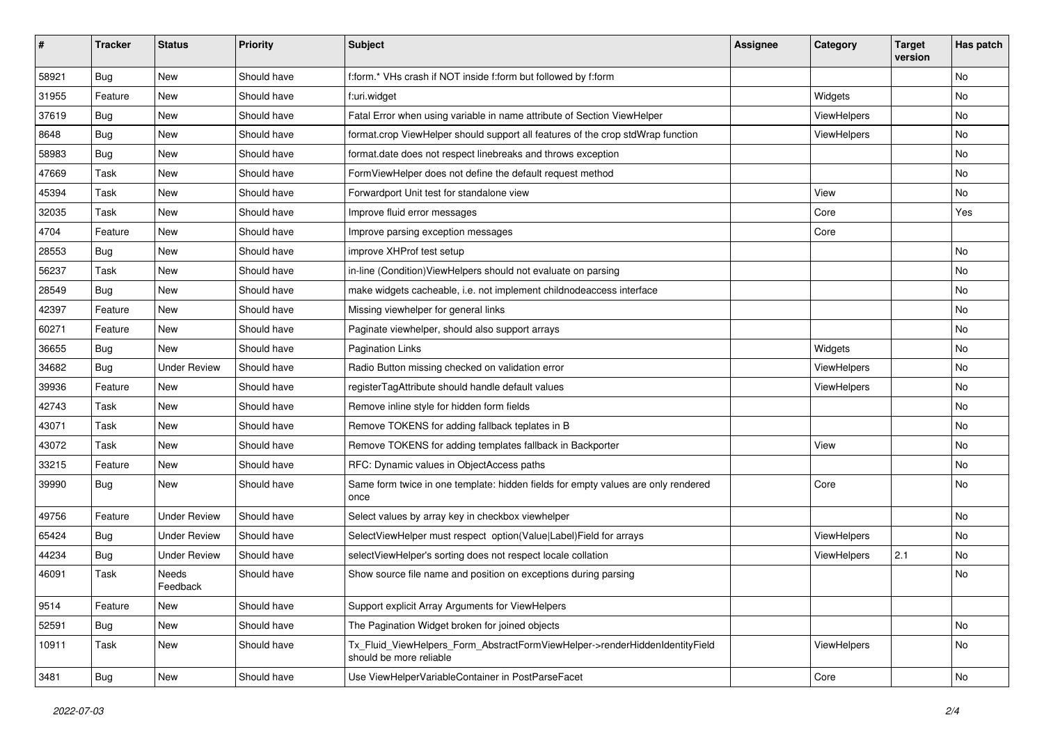| #     | <b>Tracker</b> | <b>Status</b>       | <b>Priority</b> | <b>Subject</b>                                                                                         | <b>Assignee</b> | Category    | <b>Target</b><br>version | Has patch |
|-------|----------------|---------------------|-----------------|--------------------------------------------------------------------------------------------------------|-----------------|-------------|--------------------------|-----------|
| 58921 | Bug            | New                 | Should have     | f:form.* VHs crash if NOT inside f:form but followed by f:form                                         |                 |             |                          | No        |
| 31955 | Feature        | New                 | Should have     | f:uri.widget                                                                                           |                 | Widgets     |                          | No        |
| 37619 | Bug            | New                 | Should have     | Fatal Error when using variable in name attribute of Section ViewHelper                                |                 | ViewHelpers |                          | No        |
| 8648  | Bug            | New                 | Should have     | format.crop ViewHelper should support all features of the crop stdWrap function                        |                 | ViewHelpers |                          | No        |
| 58983 | Bug            | New                 | Should have     | format.date does not respect linebreaks and throws exception                                           |                 |             |                          | No        |
| 47669 | Task           | New                 | Should have     | FormViewHelper does not define the default request method                                              |                 |             |                          | No        |
| 45394 | Task           | New                 | Should have     | Forwardport Unit test for standalone view                                                              |                 | View        |                          | No        |
| 32035 | Task           | New                 | Should have     | Improve fluid error messages                                                                           |                 | Core        |                          | Yes       |
| 4704  | Feature        | New                 | Should have     | Improve parsing exception messages                                                                     |                 | Core        |                          |           |
| 28553 | Bug            | New                 | Should have     | improve XHProf test setup                                                                              |                 |             |                          | No        |
| 56237 | Task           | New                 | Should have     | in-line (Condition) ViewHelpers should not evaluate on parsing                                         |                 |             |                          | No        |
| 28549 | Bug            | New                 | Should have     | make widgets cacheable, i.e. not implement childnodeaccess interface                                   |                 |             |                          | No        |
| 42397 | Feature        | New                 | Should have     | Missing viewhelper for general links                                                                   |                 |             |                          | No        |
| 60271 | Feature        | New                 | Should have     | Paginate viewhelper, should also support arrays                                                        |                 |             |                          | No        |
| 36655 | <b>Bug</b>     | <b>New</b>          | Should have     | <b>Pagination Links</b>                                                                                |                 | Widgets     |                          | No        |
| 34682 | <b>Bug</b>     | <b>Under Review</b> | Should have     | Radio Button missing checked on validation error                                                       |                 | ViewHelpers |                          | No.       |
| 39936 | Feature        | New                 | Should have     | registerTagAttribute should handle default values                                                      |                 | ViewHelpers |                          | No        |
| 42743 | Task           | New                 | Should have     | Remove inline style for hidden form fields                                                             |                 |             |                          | No        |
| 43071 | Task           | New                 | Should have     | Remove TOKENS for adding fallback teplates in B                                                        |                 |             |                          | No        |
| 43072 | Task           | New                 | Should have     | Remove TOKENS for adding templates fallback in Backporter                                              |                 | View        |                          | No        |
| 33215 | Feature        | New                 | Should have     | RFC: Dynamic values in ObjectAccess paths                                                              |                 |             |                          | No        |
| 39990 | <b>Bug</b>     | New                 | Should have     | Same form twice in one template: hidden fields for empty values are only rendered<br>once              |                 | Core        |                          | No        |
| 49756 | Feature        | <b>Under Review</b> | Should have     | Select values by array key in checkbox viewhelper                                                      |                 |             |                          | No        |
| 65424 | <b>Bug</b>     | <b>Under Review</b> | Should have     | SelectViewHelper must respect option(Value Label)Field for arrays                                      |                 | ViewHelpers |                          | No        |
| 44234 | <b>Bug</b>     | <b>Under Review</b> | Should have     | selectViewHelper's sorting does not respect locale collation                                           |                 | ViewHelpers | 2.1                      | No        |
| 46091 | Task           | Needs<br>Feedback   | Should have     | Show source file name and position on exceptions during parsing                                        |                 |             |                          | No        |
| 9514  | Feature        | New                 | Should have     | Support explicit Array Arguments for ViewHelpers                                                       |                 |             |                          |           |
| 52591 | <b>Bug</b>     | New                 | Should have     | The Pagination Widget broken for joined objects                                                        |                 |             |                          | No        |
| 10911 | Task           | New                 | Should have     | Tx Fluid ViewHelpers Form AbstractFormViewHelper->renderHiddenIdentityField<br>should be more reliable |                 | ViewHelpers |                          | No        |
| 3481  | Bug            | New                 | Should have     | Use ViewHelperVariableContainer in PostParseFacet                                                      |                 | Core        |                          | No        |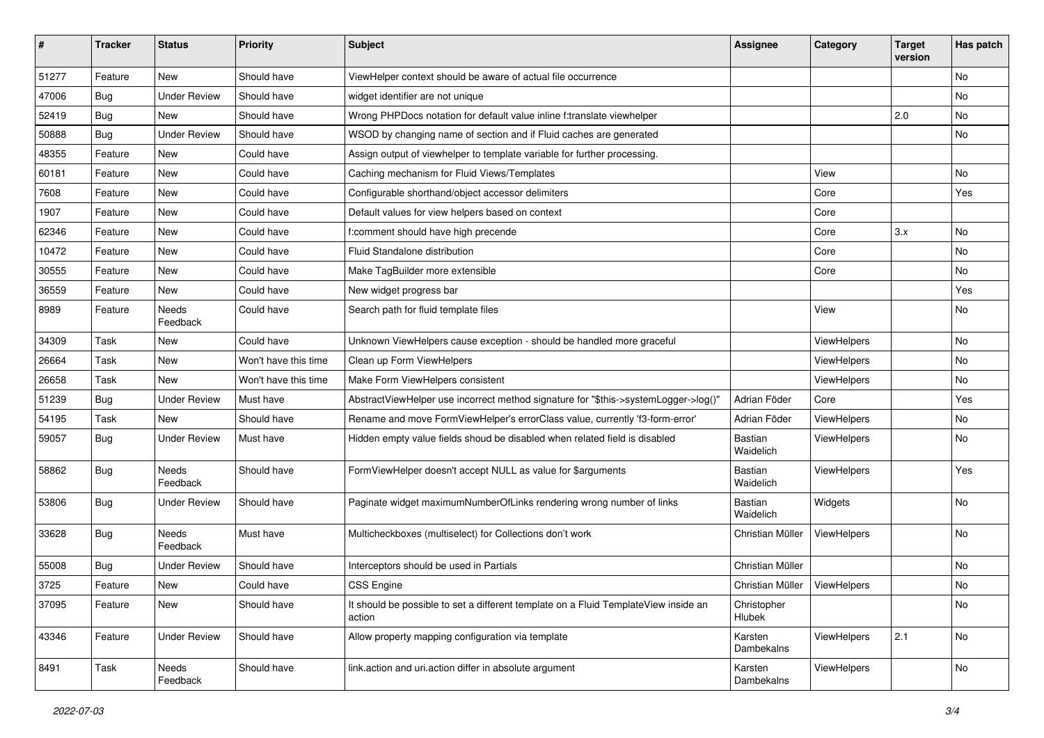| #     | <b>Tracker</b> | <b>Status</b>            | <b>Priority</b>      | <b>Subject</b>                                                                                | <b>Assignee</b>             | Category    | <b>Target</b><br>version | Has patch |
|-------|----------------|--------------------------|----------------------|-----------------------------------------------------------------------------------------------|-----------------------------|-------------|--------------------------|-----------|
| 51277 | Feature        | <b>New</b>               | Should have          | ViewHelper context should be aware of actual file occurrence                                  |                             |             |                          | No        |
| 47006 | Bug            | <b>Under Review</b>      | Should have          | widget identifier are not unique                                                              |                             |             |                          | No        |
| 52419 | <b>Bug</b>     | New                      | Should have          | Wrong PHPDocs notation for default value inline f:translate viewhelper                        |                             |             | 2.0                      | No        |
| 50888 | Bug            | <b>Under Review</b>      | Should have          | WSOD by changing name of section and if Fluid caches are generated                            |                             |             |                          | No        |
| 48355 | Feature        | New                      | Could have           | Assign output of viewhelper to template variable for further processing.                      |                             |             |                          |           |
| 60181 | Feature        | New                      | Could have           | Caching mechanism for Fluid Views/Templates                                                   |                             | View        |                          | No        |
| 7608  | Feature        | New                      | Could have           | Configurable shorthand/object accessor delimiters                                             |                             | Core        |                          | Yes       |
| 1907  | Feature        | New                      | Could have           | Default values for view helpers based on context                                              |                             | Core        |                          |           |
| 62346 | Feature        | New                      | Could have           | f:comment should have high precende                                                           |                             | Core        | 3.x                      | No        |
| 10472 | Feature        | New                      | Could have           | Fluid Standalone distribution                                                                 |                             | Core        |                          | No        |
| 30555 | Feature        | <b>New</b>               | Could have           | Make TagBuilder more extensible                                                               |                             | Core        |                          | No.       |
| 36559 | Feature        | New                      | Could have           | New widget progress bar                                                                       |                             |             |                          | Yes       |
| 8989  | Feature        | Needs<br>Feedback        | Could have           | Search path for fluid template files                                                          |                             | View        |                          | No        |
| 34309 | Task           | New                      | Could have           | Unknown ViewHelpers cause exception - should be handled more graceful                         |                             | ViewHelpers |                          | No        |
| 26664 | Task           | New                      | Won't have this time | Clean up Form ViewHelpers                                                                     |                             | ViewHelpers |                          | No        |
| 26658 | Task           | <b>New</b>               | Won't have this time | Make Form ViewHelpers consistent                                                              |                             | ViewHelpers |                          | No        |
| 51239 | Bug            | <b>Under Review</b>      | Must have            | AbstractViewHelper use incorrect method signature for "\$this->systemLogger->log()"           | Adrian Föder                | Core        |                          | Yes       |
| 54195 | Task           | <b>New</b>               | Should have          | Rename and move FormViewHelper's errorClass value, currently 'f3-form-error'                  | Adrian Föder                | ViewHelpers |                          | No        |
| 59057 | Bug            | <b>Under Review</b>      | Must have            | Hidden empty value fields shoud be disabled when related field is disabled                    | Bastian<br>Waidelich        | ViewHelpers |                          | No        |
| 58862 | Bug            | <b>Needs</b><br>Feedback | Should have          | FormViewHelper doesn't accept NULL as value for \$arguments                                   | <b>Bastian</b><br>Waidelich | ViewHelpers |                          | Yes       |
| 53806 | <b>Bug</b>     | <b>Under Review</b>      | Should have          | Paginate widget maximumNumberOfLinks rendering wrong number of links                          | Bastian<br>Waidelich        | Widgets     |                          | No        |
| 33628 | <b>Bug</b>     | Needs<br>Feedback        | Must have            | Multicheckboxes (multiselect) for Collections don't work                                      | Christian Müller            | ViewHelpers |                          | No        |
| 55008 | Bug            | <b>Under Review</b>      | Should have          | Interceptors should be used in Partials                                                       | Christian Müller            |             |                          | No        |
| 3725  | Feature        | New                      | Could have           | <b>CSS Engine</b>                                                                             | Christian Müller            | ViewHelpers |                          | No        |
| 37095 | Feature        | New                      | Should have          | It should be possible to set a different template on a Fluid TemplateView inside an<br>action | Christopher<br>Hlubek       |             |                          | No        |
| 43346 | Feature        | <b>Under Review</b>      | Should have          | Allow property mapping configuration via template                                             | Karsten<br>Dambekalns       | ViewHelpers | 2.1                      | No        |
| 8491  | Task           | Needs<br>Feedback        | Should have          | link.action and uri.action differ in absolute argument                                        | Karsten<br>Dambekalns       | ViewHelpers |                          | No        |